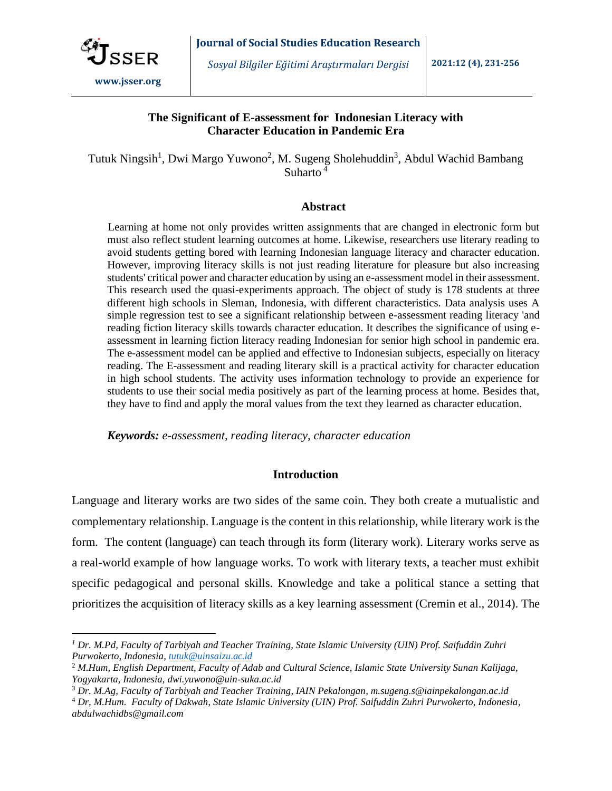

## **The Significant of E-assessment for Indonesian Literacy with Character Education in Pandemic Era**

Tutuk Ningsih<sup>1</sup>, Dwi Margo Yuwono<sup>2</sup>, M. Sugeng Sholehuddin<sup>3</sup>, Abdul Wachid Bambang Suharto <sup>4</sup>

#### **Abstract**

Learning at home not only provides written assignments that are changed in electronic form but must also reflect student learning outcomes at home. Likewise, researchers use literary reading to avoid students getting bored with learning Indonesian language literacy and character education. However, improving literacy skills is not just reading literature for pleasure but also increasing students' critical power and character education by using an e-assessment model in their assessment. This research used the quasi-experiments approach. The object of study is 178 students at three different high schools in Sleman, Indonesia, with different characteristics. Data analysis uses A simple regression test to see a significant relationship between e-assessment reading literacy 'and reading fiction literacy skills towards character education. It describes the significance of using eassessment in learning fiction literacy reading Indonesian for senior high school in pandemic era. The e-assessment model can be applied and effective to Indonesian subjects, especially on literacy reading. The E-assessment and reading literary skill is a practical activity for character education in high school students. The activity uses information technology to provide an experience for students to use their social media positively as part of the learning process at home. Besides that, they have to find and apply the moral values from the text they learned as character education.

*Keywords: e-assessment, reading literacy, character education*

## **Introduction**

Language and literary works are two sides of the same coin. They both create a mutualistic and complementary relationship. Language is the content in this relationship, while literary work is the form. The content (language) can teach through its form (literary work). Literary works serve as a real-world example of how language works. To work with literary texts, a teacher must exhibit specific pedagogical and personal skills. Knowledge and take a political stance a setting that prioritizes the acquisition of literacy skills as a key learning assessment (Cremin et al., 2014). The

*<sup>1</sup> Dr. M.Pd, Faculty of Tarbiyah and Teacher Training, State Islamic University (UIN) Prof. Saifuddin Zuhri Purwokerto, Indonesia, [tutuk@uinsaizu.ac.id](mailto:tutuk@uinsaizu.ac.id)*

<sup>2</sup> *M.Hum, English Department, Faculty of Adab and Cultural Science, Islamic State University Sunan Kalijaga, Yogyakarta, Indonesia, dwi.yuwono@uin-suka.ac.id*

<sup>3</sup> *Dr. M.Ag, Faculty of Tarbiyah and Teacher Training, IAIN Pekalongan, m.sugeng.s@iainpekalongan.ac.id*

<sup>4</sup> *Dr, M.Hum. Faculty of Dakwah, State Islamic University (UIN) Prof. Saifuddin Zuhri Purwokerto, Indonesia, abdulwachidbs@gmail.com*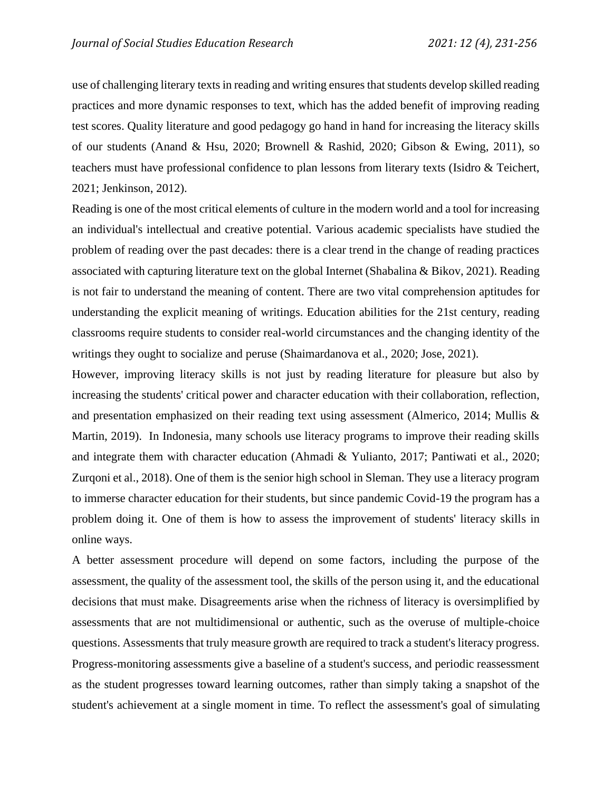use of challenging literary texts in reading and writing ensures that students develop skilled reading practices and more dynamic responses to text, which has the added benefit of improving reading test scores. Quality literature and good pedagogy go hand in hand for increasing the literacy skills of our students (Anand & Hsu, 2020; Brownell & Rashid, 2020; Gibson & Ewing, 2011), so teachers must have professional confidence to plan lessons from literary texts (Isidro & Teichert, 2021; Jenkinson, 2012).

Reading is one of the most critical elements of culture in the modern world and a tool for increasing an individual's intellectual and creative potential. Various academic specialists have studied the problem of reading over the past decades: there is a clear trend in the change of reading practices associated with capturing literature text on the global Internet (Shabalina & Bikov, 2021). Reading is not fair to understand the meaning of content. There are two vital comprehension aptitudes for understanding the explicit meaning of writings. Education abilities for the 21st century, reading classrooms require students to consider real-world circumstances and the changing identity of the writings they ought to socialize and peruse (Shaimardanova et al., 2020; Jose, 2021).

However, improving literacy skills is not just by reading literature for pleasure but also by increasing the students' critical power and character education with their collaboration, reflection, and presentation emphasized on their reading text using assessment (Almerico, 2014; Mullis & Martin, 2019). In Indonesia, many schools use literacy programs to improve their reading skills and integrate them with character education (Ahmadi & Yulianto, 2017; Pantiwati et al., 2020; Zurqoni et al., 2018). One of them is the senior high school in Sleman. They use a literacy program to immerse character education for their students, but since pandemic Covid-19 the program has a problem doing it. One of them is how to assess the improvement of students' literacy skills in online ways.

A better assessment procedure will depend on some factors, including the purpose of the assessment, the quality of the assessment tool, the skills of the person using it, and the educational decisions that must make. Disagreements arise when the richness of literacy is oversimplified by assessments that are not multidimensional or authentic, such as the overuse of multiple-choice questions. Assessments that truly measure growth are required to track a student's literacy progress. Progress-monitoring assessments give a baseline of a student's success, and periodic reassessment as the student progresses toward learning outcomes, rather than simply taking a snapshot of the student's achievement at a single moment in time. To reflect the assessment's goal of simulating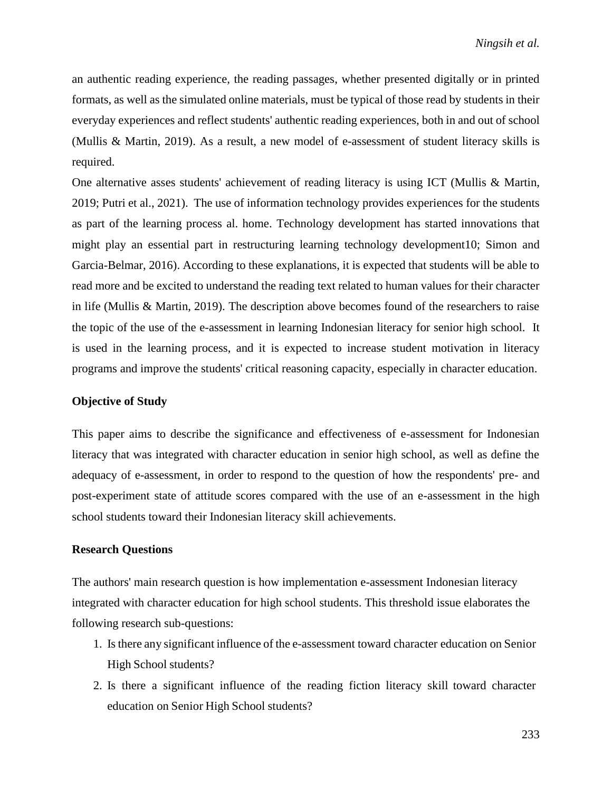an authentic reading experience, the reading passages, whether presented digitally or in printed formats, as well as the simulated online materials, must be typical of those read by students in their everyday experiences and reflect students' authentic reading experiences, both in and out of school (Mullis & Martin, 2019). As a result, a new model of e-assessment of student literacy skills is required.

One alternative asses students' achievement of reading literacy is using ICT (Mullis & Martin, 2019; Putri et al., 2021). The use of information technology provides experiences for the students as part of the learning process al. home. Technology development has started innovations that might play an essential part in restructuring learning technology development10; Simon and Garcia-Belmar, 2016). According to these explanations, it is expected that students will be able to read more and be excited to understand the reading text related to human values for their character in life (Mullis & Martin, 2019). The description above becomes found of the researchers to raise the topic of the use of the e-assessment in learning Indonesian literacy for senior high school. It is used in the learning process, and it is expected to increase student motivation in literacy programs and improve the students' critical reasoning capacity, especially in character education.

## **Objective of Study**

This paper aims to describe the significance and effectiveness of e-assessment for Indonesian literacy that was integrated with character education in senior high school, as well as define the adequacy of e-assessment, in order to respond to the question of how the respondents' pre- and post-experiment state of attitude scores compared with the use of an e-assessment in the high school students toward their Indonesian literacy skill achievements.

## **Research Questions**

The authors' main research question is how implementation e-assessment Indonesian literacy integrated with character education for high school students. This threshold issue elaborates the following research sub-questions:

- 1. Isthere any significant influence of the e-assessment toward character education on Senior High School students?
- 2. Is there a significant influence of the reading fiction literacy skill toward character education on Senior High School students?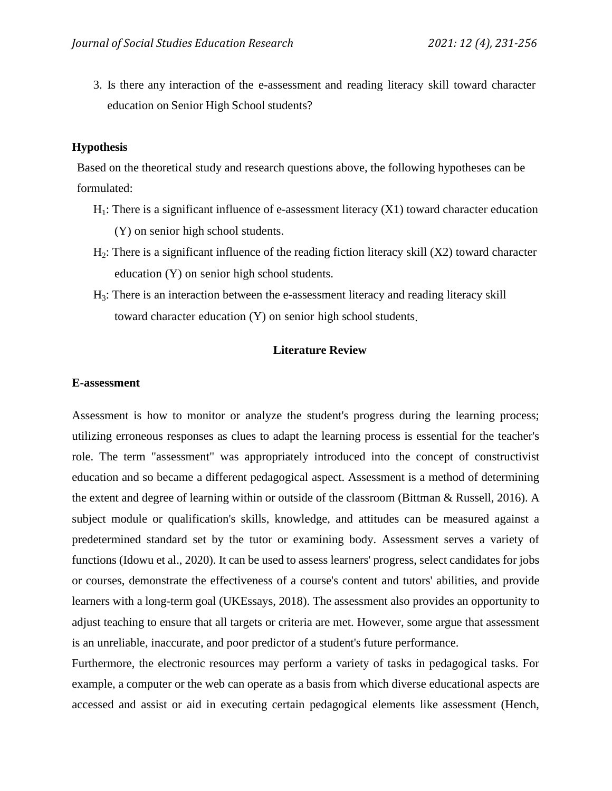3. Is there any interaction of the e-assessment and reading literacy skill toward character education on Senior High School students?

### **Hypothesis**

Based on the theoretical study and research questions above, the following hypotheses can be formulated:

- $H_1$ : There is a significant influence of e-assessment literacy  $(X1)$  toward character education (Y) on senior high school students.
- $H_2$ : There is a significant influence of the reading fiction literacy skill  $(X2)$  toward character education (Y) on senior high school students.
- H3: There is an interaction between the e-assessment literacy and reading literacy skill toward character education (Y) on senior high school students.

## **Literature Review**

### **E-assessment**

Assessment is how to monitor or analyze the student's progress during the learning process; utilizing erroneous responses as clues to adapt the learning process is essential for the teacher's role. The term "assessment" was appropriately introduced into the concept of constructivist education and so became a different pedagogical aspect. Assessment is a method of determining the extent and degree of learning within or outside of the classroom (Bittman & Russell, 2016). A subject module or qualification's skills, knowledge, and attitudes can be measured against a predetermined standard set by the tutor or examining body. Assessment serves a variety of functions (Idowu et al., 2020). It can be used to assess learners' progress, select candidates for jobs or courses, demonstrate the effectiveness of a course's content and tutors' abilities, and provide learners with a long-term goal (UKEssays, 2018). The assessment also provides an opportunity to adjust teaching to ensure that all targets or criteria are met. However, some argue that assessment is an unreliable, inaccurate, and poor predictor of a student's future performance.

Furthermore, the electronic resources may perform a variety of tasks in pedagogical tasks. For example, a computer or the web can operate as a basis from which diverse educational aspects are accessed and assist or aid in executing certain pedagogical elements like assessment (Hench,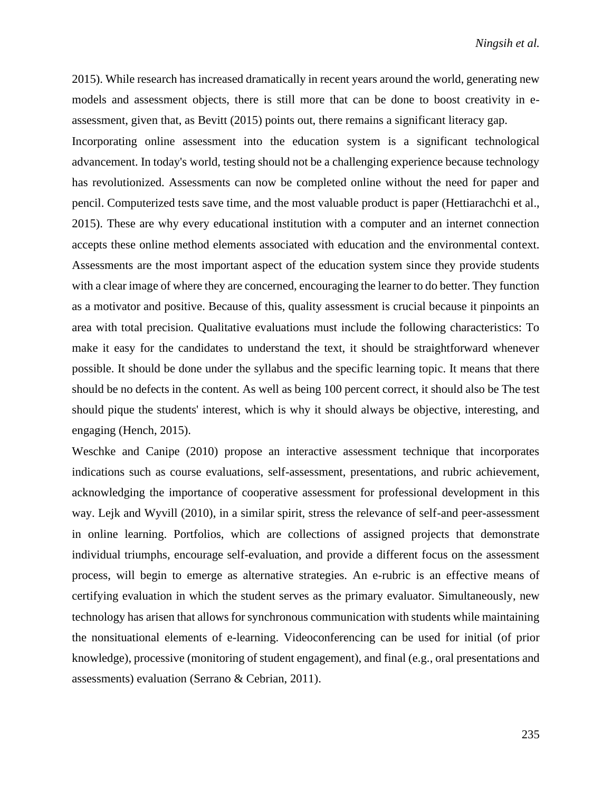2015). While research has increased dramatically in recent years around the world, generating new models and assessment objects, there is still more that can be done to boost creativity in eassessment, given that, as Bevitt (2015) points out, there remains a significant literacy gap.

Incorporating online assessment into the education system is a significant technological advancement. In today's world, testing should not be a challenging experience because technology has revolutionized. Assessments can now be completed online without the need for paper and pencil. Computerized tests save time, and the most valuable product is paper (Hettiarachchi et al., 2015). These are why every educational institution with a computer and an internet connection accepts these online method elements associated with education and the environmental context. Assessments are the most important aspect of the education system since they provide students with a clear image of where they are concerned, encouraging the learner to do better. They function as a motivator and positive. Because of this, quality assessment is crucial because it pinpoints an area with total precision. Qualitative evaluations must include the following characteristics: To make it easy for the candidates to understand the text, it should be straightforward whenever possible. It should be done under the syllabus and the specific learning topic. It means that there should be no defects in the content. As well as being 100 percent correct, it should also be The test should pique the students' interest, which is why it should always be objective, interesting, and engaging (Hench, 2015).

Weschke and Canipe (2010) propose an interactive assessment technique that incorporates indications such as course evaluations, self-assessment, presentations, and rubric achievement, acknowledging the importance of cooperative assessment for professional development in this way. Lejk and Wyvill (2010), in a similar spirit, stress the relevance of self-and peer-assessment in online learning. Portfolios, which are collections of assigned projects that demonstrate individual triumphs, encourage self-evaluation, and provide a different focus on the assessment process, will begin to emerge as alternative strategies. An e-rubric is an effective means of certifying evaluation in which the student serves as the primary evaluator. Simultaneously, new technology has arisen that allows for synchronous communication with students while maintaining the nonsituational elements of e-learning. Videoconferencing can be used for initial (of prior knowledge), processive (monitoring of student engagement), and final (e.g., oral presentations and assessments) evaluation (Serrano & Cebrian, 2011).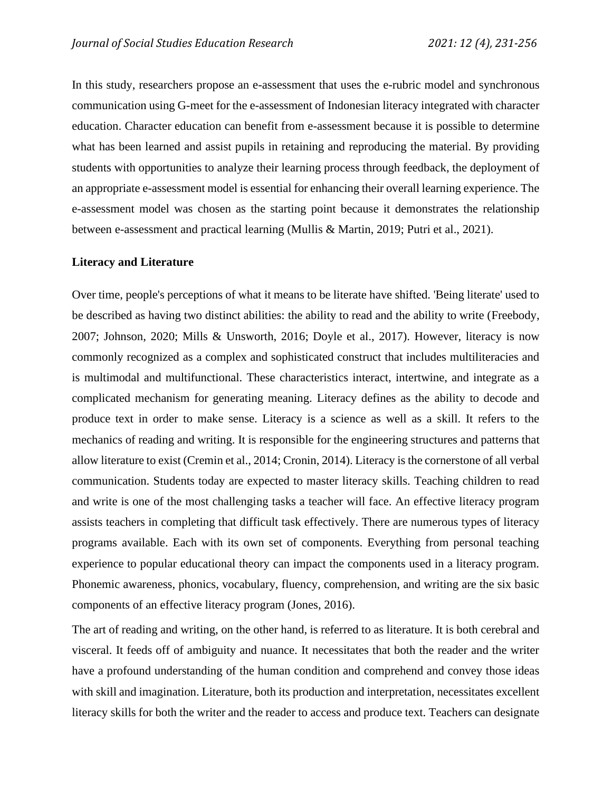In this study, researchers propose an e-assessment that uses the e-rubric model and synchronous communication using G-meet for the e-assessment of Indonesian literacy integrated with character education. Character education can benefit from e-assessment because it is possible to determine what has been learned and assist pupils in retaining and reproducing the material. By providing students with opportunities to analyze their learning process through feedback, the deployment of an appropriate e-assessment model is essential for enhancing their overall learning experience. The e-assessment model was chosen as the starting point because it demonstrates the relationship between e-assessment and practical learning (Mullis & Martin, 2019; Putri et al., 2021).

## **Literacy and Literature**

Over time, people's perceptions of what it means to be literate have shifted. 'Being literate' used to be described as having two distinct abilities: the ability to read and the ability to write (Freebody, 2007; Johnson, 2020; Mills & Unsworth, 2016; Doyle et al., 2017). However, literacy is now commonly recognized as a complex and sophisticated construct that includes multiliteracies and is multimodal and multifunctional. These characteristics interact, intertwine, and integrate as a complicated mechanism for generating meaning. Literacy defines as the ability to decode and produce text in order to make sense. Literacy is a science as well as a skill. It refers to the mechanics of reading and writing. It is responsible for the engineering structures and patterns that allow literature to exist (Cremin et al., 2014; Cronin, 2014). Literacy is the cornerstone of all verbal communication. Students today are expected to master literacy skills. Teaching children to read and write is one of the most challenging tasks a teacher will face. An effective literacy program assists teachers in completing that difficult task effectively. There are numerous types of literacy programs available. Each with its own set of components. Everything from personal teaching experience to popular educational theory can impact the components used in a literacy program. Phonemic awareness, phonics, vocabulary, fluency, comprehension, and writing are the six basic components of an effective literacy program (Jones, 2016).

The art of reading and writing, on the other hand, is referred to as literature. It is both cerebral and visceral. It feeds off of ambiguity and nuance. It necessitates that both the reader and the writer have a profound understanding of the human condition and comprehend and convey those ideas with skill and imagination. Literature, both its production and interpretation, necessitates excellent literacy skills for both the writer and the reader to access and produce text. Teachers can designate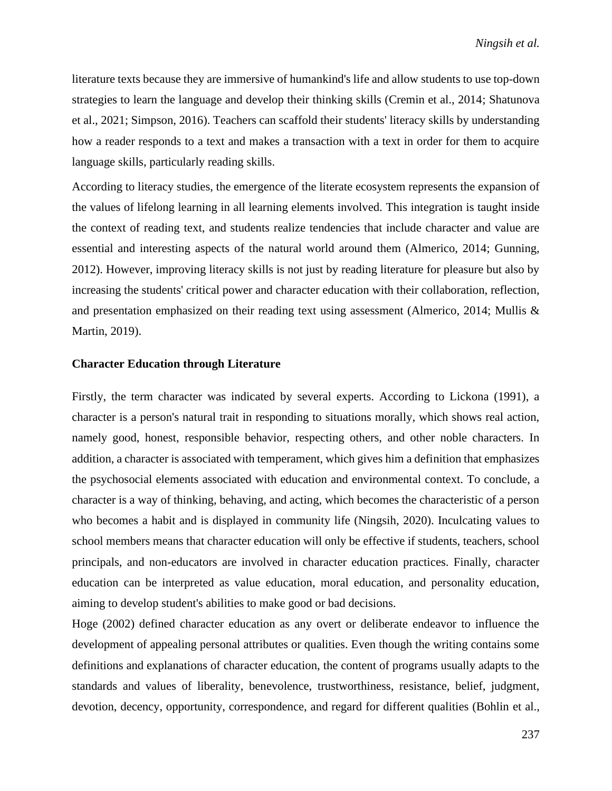literature texts because they are immersive of humankind's life and allow students to use top-down strategies to learn the language and develop their thinking skills (Cremin et al., 2014; Shatunova et al., 2021; Simpson, 2016). Teachers can scaffold their students' literacy skills by understanding how a reader responds to a text and makes a transaction with a text in order for them to acquire language skills, particularly reading skills.

According to literacy studies, the emergence of the literate ecosystem represents the expansion of the values of lifelong learning in all learning elements involved. This integration is taught inside the context of reading text, and students realize tendencies that include character and value are essential and interesting aspects of the natural world around them (Almerico, 2014; Gunning, 2012). However, improving literacy skills is not just by reading literature for pleasure but also by increasing the students' critical power and character education with their collaboration, reflection, and presentation emphasized on their reading text using assessment (Almerico, 2014; Mullis & Martin, 2019).

### **Character Education through Literature**

Firstly, the term character was indicated by several experts. According to Lickona (1991), a character is a person's natural trait in responding to situations morally, which shows real action, namely good, honest, responsible behavior, respecting others, and other noble characters. In addition, a character is associated with temperament, which gives him a definition that emphasizes the psychosocial elements associated with education and environmental context. To conclude, a character is a way of thinking, behaving, and acting, which becomes the characteristic of a person who becomes a habit and is displayed in community life (Ningsih, 2020). Inculcating values to school members means that character education will only be effective if students, teachers, school principals, and non-educators are involved in character education practices. Finally, character education can be interpreted as value education, moral education, and personality education, aiming to develop student's abilities to make good or bad decisions.

Hoge (2002) defined character education as any overt or deliberate endeavor to influence the development of appealing personal attributes or qualities. Even though the writing contains some definitions and explanations of character education, the content of programs usually adapts to the standards and values of liberality, benevolence, trustworthiness, resistance, belief, judgment, devotion, decency, opportunity, correspondence, and regard for different qualities (Bohlin et al.,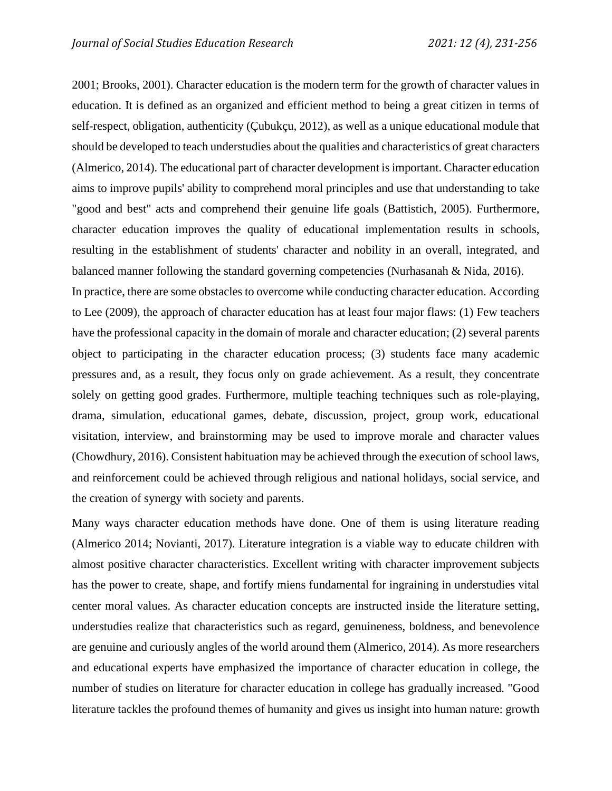2001; Brooks, 2001). Character education is the modern term for the growth of character values in education. It is defined as an organized and efficient method to being a great citizen in terms of self-respect, obligation, authenticity (Çubukçu, 2012), as well as a unique educational module that should be developed to teach understudies about the qualities and characteristics of great characters (Almerico, 2014). The educational part of character development is important. Character education aims to improve pupils' ability to comprehend moral principles and use that understanding to take "good and best" acts and comprehend their genuine life goals (Battistich, 2005). Furthermore, character education improves the quality of educational implementation results in schools, resulting in the establishment of students' character and nobility in an overall, integrated, and balanced manner following the standard governing competencies (Nurhasanah & Nida, 2016).

In practice, there are some obstacles to overcome while conducting character education. According to Lee (2009), the approach of character education has at least four major flaws: (1) Few teachers have the professional capacity in the domain of morale and character education; (2) several parents object to participating in the character education process; (3) students face many academic pressures and, as a result, they focus only on grade achievement. As a result, they concentrate solely on getting good grades. Furthermore, multiple teaching techniques such as role-playing, drama, simulation, educational games, debate, discussion, project, group work, educational visitation, interview, and brainstorming may be used to improve morale and character values (Chowdhury, 2016). Consistent habituation may be achieved through the execution of school laws, and reinforcement could be achieved through religious and national holidays, social service, and the creation of synergy with society and parents.

Many ways character education methods have done. One of them is using literature reading (Almerico 2014; Novianti, 2017). Literature integration is a viable way to educate children with almost positive character characteristics. Excellent writing with character improvement subjects has the power to create, shape, and fortify miens fundamental for ingraining in understudies vital center moral values. As character education concepts are instructed inside the literature setting, understudies realize that characteristics such as regard, genuineness, boldness, and benevolence are genuine and curiously angles of the world around them (Almerico, 2014). As more researchers and educational experts have emphasized the importance of character education in college, the number of studies on literature for character education in college has gradually increased. "Good literature tackles the profound themes of humanity and gives us insight into human nature: growth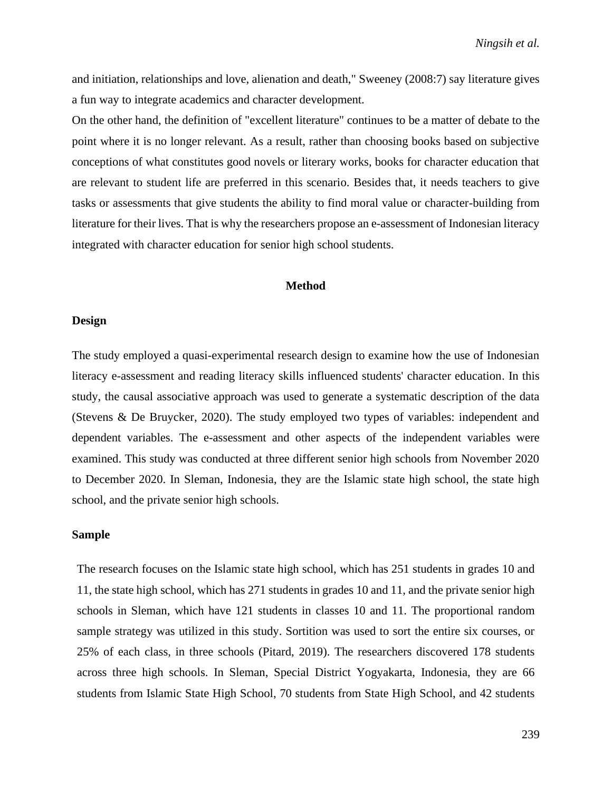and initiation, relationships and love, alienation and death," Sweeney (2008:7) say literature gives a fun way to integrate academics and character development.

On the other hand, the definition of "excellent literature" continues to be a matter of debate to the point where it is no longer relevant. As a result, rather than choosing books based on subjective conceptions of what constitutes good novels or literary works, books for character education that are relevant to student life are preferred in this scenario. Besides that, it needs teachers to give tasks or assessments that give students the ability to find moral value or character-building from literature for their lives. That is why the researchers propose an e-assessment of Indonesian literacy integrated with character education for senior high school students.

### **Method**

#### **Design**

The study employed a quasi-experimental research design to examine how the use of Indonesian literacy e-assessment and reading literacy skills influenced students' character education. In this study, the causal associative approach was used to generate a systematic description of the data (Stevens & De Bruycker, 2020). The study employed two types of variables: independent and dependent variables. The e-assessment and other aspects of the independent variables were examined. This study was conducted at three different senior high schools from November 2020 to December 2020. In Sleman, Indonesia, they are the Islamic state high school, the state high school, and the private senior high schools.

#### **Sample**

The research focuses on the Islamic state high school, which has 251 students in grades 10 and 11, the state high school, which has 271 students in grades 10 and 11, and the private senior high schools in Sleman, which have 121 students in classes 10 and 11. The proportional random sample strategy was utilized in this study. Sortition was used to sort the entire six courses, or 25% of each class, in three schools (Pitard, 2019). The researchers discovered 178 students across three high schools. In Sleman, Special District Yogyakarta, Indonesia, they are 66 students from Islamic State High School, 70 students from State High School, and 42 students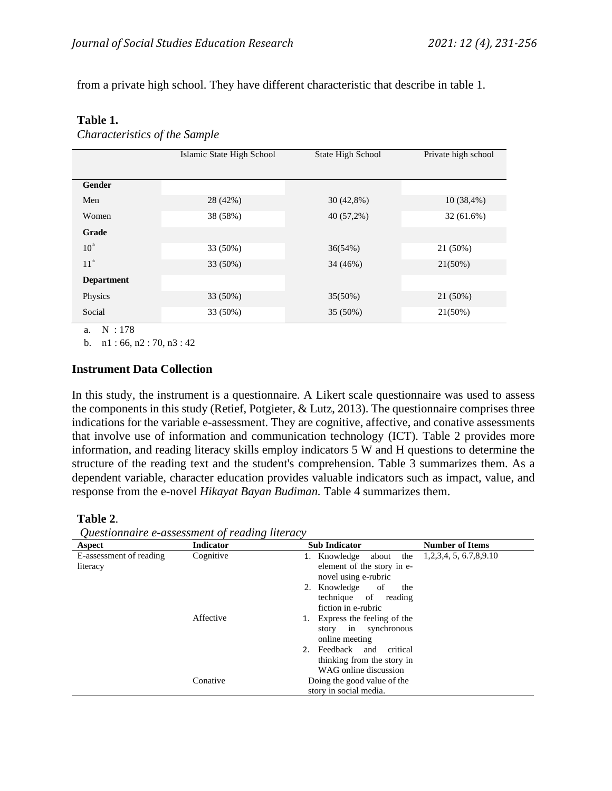from a private high school. They have different characteristic that describe in table 1.

## **Table 1.**

*Characteristics of the Sample*

|                                     | Islamic State High School | State High School | Private high school |
|-------------------------------------|---------------------------|-------------------|---------------------|
|                                     |                           |                   |                     |
| Gender                              |                           |                   |                     |
| Men                                 | 28 (42%)                  | $30(42,8\%)$      | 10(38,4%)           |
| Women                               | 38 (58%)                  | 40 (57,2%)        | 32 (61.6%)          |
| Grade                               |                           |                   |                     |
| $10^{\text{th}}$                    | 33 (50%)                  | 36(54%)           | 21 (50%)            |
| 11 <sup>th</sup>                    | 33 (50%)                  | 34 (46%)          | $21(50\%)$          |
| <b>Department</b>                   |                           |                   |                     |
| Physics                             | 33 (50%)                  | $35(50\%)$        | 21 (50%)            |
| Social<br>$\mathbf{v}$ $\mathbf{v}$ | 33 (50%)                  | 35 (50%)          | 21(50%)             |

a. N : 178

b. n1 : 66, n2 : 70, n3 : 42

## **Instrument Data Collection**

In this study, the instrument is a questionnaire. A Likert scale questionnaire was used to assess the components in this study (Retief, Potgieter, & Lutz, 2013). The questionnaire comprises three indications for the variable e-assessment. They are cognitive, affective, and conative assessments that involve use of information and communication technology (ICT). Table 2 provides more information, and reading literacy skills employ indicators 5 W and H questions to determine the structure of the reading text and the student's comprehension. Table 3 summarizes them. As a dependent variable, character education provides valuable indicators such as impact, value, and response from the e-novel *Hikayat Bayan Budiman.* Table 4 summarizes them.

## **Table 2**.

| Questionnaire e-assessment of reading literacy |  |  |
|------------------------------------------------|--|--|
|                                                |  |  |

| $\tilde{\phantom{a}}$<br>Aspect | <b>Indicator</b> | <b>Sub Indicator</b>                                                                  | <b>Number of Items</b>        |
|---------------------------------|------------------|---------------------------------------------------------------------------------------|-------------------------------|
| E-assessment of reading         | Cognitive        | 1. Knowledge about<br>the                                                             | 1, 2, 3, 4, 5, 6. 7, 8, 9. 10 |
| literacy                        |                  | element of the story in e-<br>novel using e-rubric                                    |                               |
|                                 |                  | 2. Knowledge of<br>the<br>technique of reading<br>fiction in e-rubric                 |                               |
|                                 | Affective        | Express the feeling of the<br>story in synchronous<br>online meeting                  |                               |
|                                 |                  | Feedback and<br>critical<br>2.<br>thinking from the story in<br>WAG online discussion |                               |
|                                 | Conative         | Doing the good value of the<br>story in social media.                                 |                               |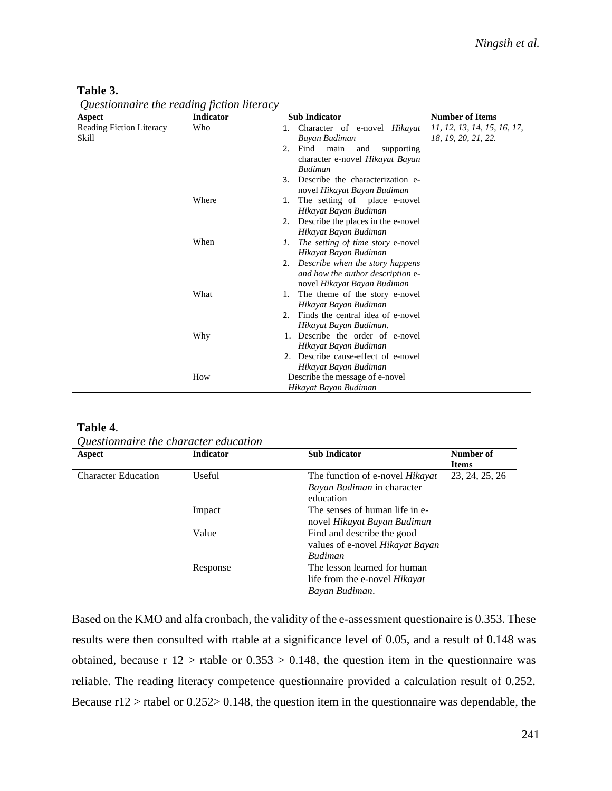| Aspect                   | <b>Indicator</b> | <b>Sub Indicator</b>                           | <b>Number of Items</b>      |
|--------------------------|------------------|------------------------------------------------|-----------------------------|
| Reading Fiction Literacy | Who              | Character of e-novel Hikayat<br>1.             | 11, 12, 13, 14, 15, 16, 17, |
| Skill                    |                  | Bayan Budiman                                  | 18, 19, 20, 21, 22.         |
|                          |                  | Find<br>main<br>2.<br>and<br>supporting        |                             |
|                          |                  | character e-novel Hikayat Bayan                |                             |
|                          |                  | <b>Budiman</b>                                 |                             |
|                          |                  | Describe the characterization e-<br>3.         |                             |
|                          |                  | novel Hikayat Bayan Budiman                    |                             |
|                          | Where            | The setting of place e-novel<br>1.             |                             |
|                          |                  | Hikayat Bayan Budiman                          |                             |
|                          |                  | Describe the places in the e-novel<br>2.       |                             |
|                          |                  | Hikayat Bayan Budiman                          |                             |
|                          | When             | <i>The setting of time story e-novel</i><br>1. |                             |
|                          |                  | Hikayat Bayan Budiman                          |                             |
|                          |                  | Describe when the story happens<br>2.          |                             |
|                          |                  | and how the author description e-              |                             |
|                          |                  | novel Hikayat Bayan Budiman                    |                             |
|                          | What             | The theme of the story e-novel<br>1.           |                             |
|                          |                  | Hikayat Bayan Budiman                          |                             |
|                          |                  | Finds the central idea of e-novel<br>2.        |                             |
|                          |                  | Hikayat Bayan Budiman.                         |                             |
|                          | Why              | 1. Describe the order of e-novel               |                             |
|                          |                  | Hikayat Bayan Budiman                          |                             |
|                          |                  | 2. Describe cause-effect of e-novel            |                             |
|                          |                  | Hikayat Bayan Budiman                          |                             |
|                          | How              | Describe the message of e-novel                |                             |
|                          |                  | Hikayat Bayan Budiman                          |                             |

*Questionnaire the reading fiction literacy*

#### **Table 4**.

*Questionnaire the character education*

| Aspect                     | <b>Indicator</b> | <b>Sub Indicator</b>                                                                   | Number of<br><b>Items</b> |
|----------------------------|------------------|----------------------------------------------------------------------------------------|---------------------------|
| <b>Character Education</b> | Useful           | The function of e-novel <i>Hikayat</i><br>Bayan Budiman in character<br>education      | 23, 24, 25, 26            |
|                            | Impact           | The senses of human life in e-<br>novel Hikayat Bayan Budiman                          |                           |
|                            | Value            | Find and describe the good<br>values of e-novel Hikayat Bayan<br><b>Budiman</b>        |                           |
|                            | Response         | The lesson learned for human<br>life from the e-novel <i>Hikayat</i><br>Bayan Budiman. |                           |

Based on the KMO and alfa cronbach, the validity of the e-assessment questionaire is 0.353. These results were then consulted with rtable at a significance level of 0.05, and a result of 0.148 was obtained, because r  $12 >$  rtable or  $0.353 > 0.148$ , the question item in the questionnaire was reliable. The reading literacy competence questionnaire provided a calculation result of 0.252. Because r12 > rtabel or 0.252> 0.148, the question item in the questionnaire was dependable, the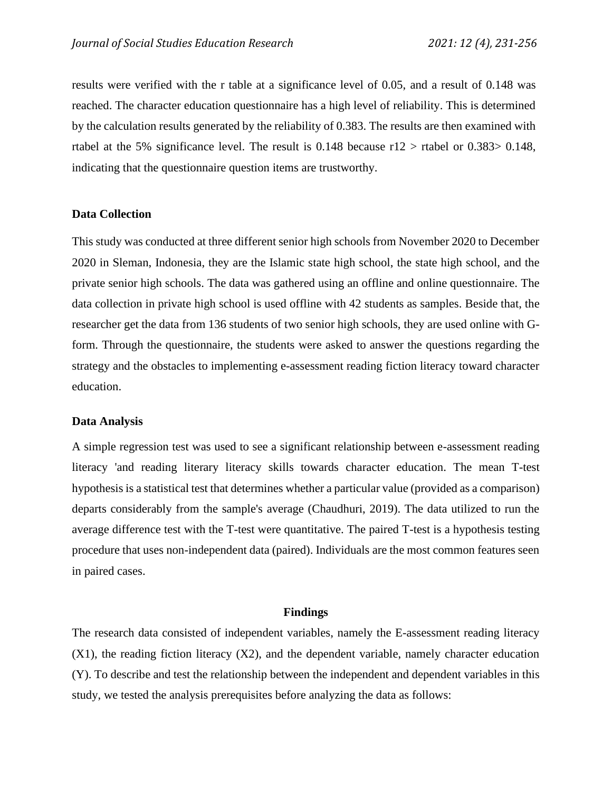results were verified with the r table at a significance level of 0.05, and a result of 0.148 was reached. The character education questionnaire has a high level of reliability. This is determined by the calculation results generated by the reliability of 0.383. The results are then examined with rtabel at the 5% significance level. The result is  $0.148$  because  $r12 > r$  tabel or  $0.383 > 0.148$ , indicating that the questionnaire question items are trustworthy.

## **Data Collection**

This study was conducted at three different senior high schools from November 2020 to December 2020 in Sleman, Indonesia, they are the Islamic state high school, the state high school, and the private senior high schools. The data was gathered using an offline and online questionnaire. The data collection in private high school is used offline with 42 students as samples. Beside that, the researcher get the data from 136 students of two senior high schools, they are used online with Gform. Through the questionnaire, the students were asked to answer the questions regarding the strategy and the obstacles to implementing e-assessment reading fiction literacy toward character education.

## **Data Analysis**

A simple regression test was used to see a significant relationship between e-assessment reading literacy 'and reading literary literacy skills towards character education. The mean T-test hypothesis is a statistical test that determines whether a particular value (provided as a comparison) departs considerably from the sample's average (Chaudhuri, 2019). The data utilized to run the average difference test with the T-test were quantitative. The paired T-test is a hypothesis testing procedure that uses non-independent data (paired). Individuals are the most common features seen in paired cases.

#### **Findings**

The research data consisted of independent variables, namely the E-assessment reading literacy  $(X1)$ , the reading fiction literacy  $(X2)$ , and the dependent variable, namely character education (Y). To describe and test the relationship between the independent and dependent variables in this study, we tested the analysis prerequisites before analyzing the data as follows: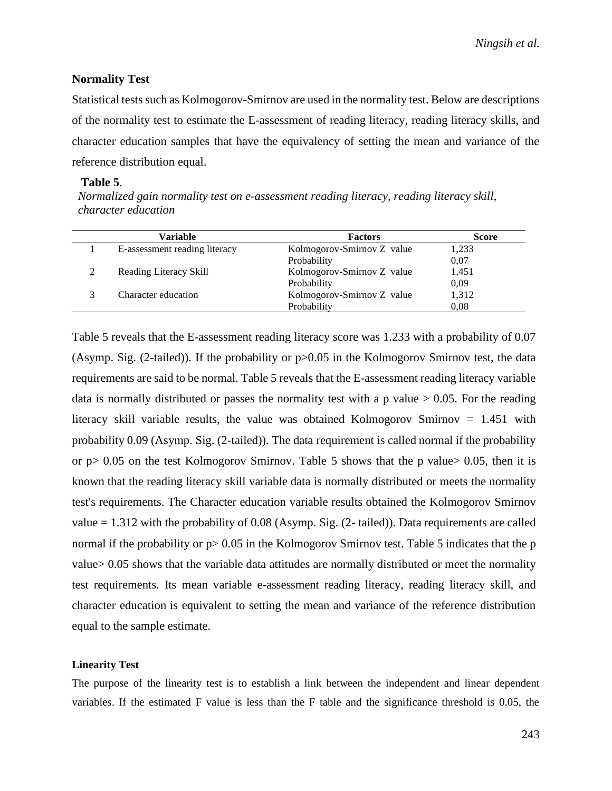## **Normality Test**

Statistical tests such as Kolmogorov-Smirnov are used in the normality test. Below are descriptions of the normality test to estimate the E-assessment of reading literacy, reading literacy skills, and character education samples that have the equivalency of setting the mean and variance of the reference distribution equal.

#### **Table 5**.

*Normalized gain normality test on e-assessment reading literacy, reading literacy skill, character education*

| Variable                      | <b>Factors</b>             | <b>Score</b> |
|-------------------------------|----------------------------|--------------|
| E-assessment reading literacy | Kolmogorov-Smirnov Z value | 1,233        |
|                               | Probability                | 0,07         |
| Reading Literacy Skill        | Kolmogorov-Smirnov Z value | 1,451        |
|                               | Probability                | 0.09         |
| Character education           | Kolmogorov-Smirnov Z value | 1,312        |
|                               | Probability                | 0,08         |

Table 5 reveals that the E-assessment reading literacy score was 1.233 with a probability of 0.07 (Asymp. Sig. (2-tailed)). If the probability or p>0.05 in the Kolmogorov Smirnov test, the data requirements are said to be normal. Table 5 reveals that the E-assessment reading literacy variable data is normally distributed or passes the normality test with a p value  $> 0.05$ . For the reading literacy skill variable results, the value was obtained Kolmogorov Smirnov = 1.451 with probability 0.09 (Asymp. Sig. (2-tailed)). The data requirement is called normal if the probability or  $p > 0.05$  on the test Kolmogorov Smirnov. Table 5 shows that the p value  $> 0.05$ , then it is known that the reading literacy skill variable data is normally distributed or meets the normality test's requirements. The Character education variable results obtained the Kolmogorov Smirnov value  $= 1.312$  with the probability of 0.08 (Asymp. Sig. (2- tailed)). Data requirements are called normal if the probability or  $p > 0.05$  in the Kolmogorov Smirnov test. Table 5 indicates that the p value> 0.05 shows that the variable data attitudes are normally distributed or meet the normality test requirements. Its mean variable e-assessment reading literacy, reading literacy skill, and character education is equivalent to setting the mean and variance of the reference distribution equal to the sample estimate.

#### **Linearity Test**

The purpose of the linearity test is to establish a link between the independent and linear dependent variables. If the estimated F value is less than the F table and the significance threshold is 0.05, the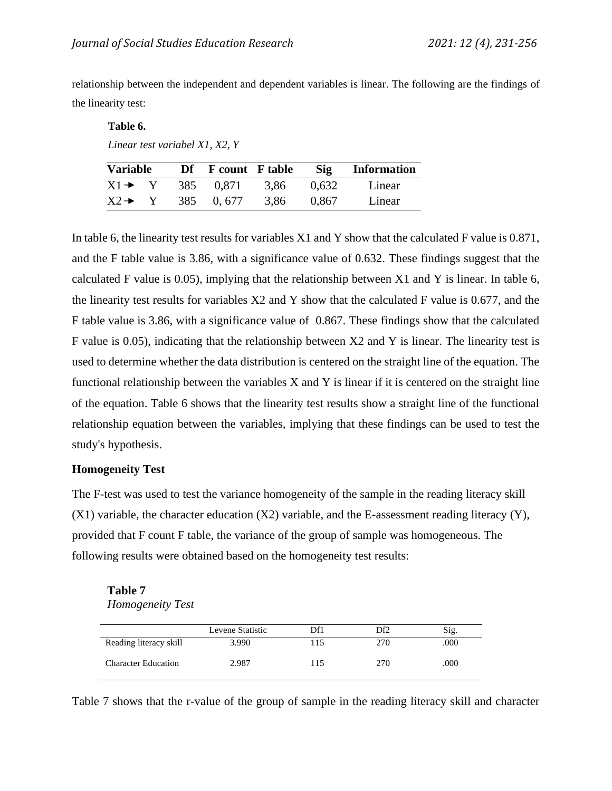relationship between the independent and dependent variables is linear. The following are the findings of the linearity test:

### **Table 6.**

*Linear test variabel X1, X2, Y*

| <b>Variable</b>    |     | Df F count F table |      | Sig   | <b>Information</b> |
|--------------------|-----|--------------------|------|-------|--------------------|
| $X1 \rightarrow Y$ | 385 | 0,871              | 3,86 | 0.632 | Linear             |
| $X2 \rightarrow$   | 385 | 0.677              | 3,86 | 0.867 | Linear             |

In table 6, the linearity test results for variables X1 and Y show that the calculated F value is 0.871, and the F table value is 3.86, with a significance value of 0.632. These findings suggest that the calculated F value is 0.05), implying that the relationship between X1 and Y is linear. In table 6, the linearity test results for variables X2 and Y show that the calculated F value is 0.677, and the F table value is 3.86, with a significance value of 0.867. These findings show that the calculated F value is 0.05), indicating that the relationship between X2 and Y is linear. The linearity test is used to determine whether the data distribution is centered on the straight line of the equation. The functional relationship between the variables X and Y is linear if it is centered on the straight line of the equation. Table 6 shows that the linearity test results show a straight line of the functional relationship equation between the variables, implying that these findings can be used to test the study's hypothesis.

## **Homogeneity Test**

The F-test was used to test the variance homogeneity of the sample in the reading literacy skill  $(X1)$  variable, the character education  $(X2)$  variable, and the E-assessment reading literacy  $(Y)$ , provided that F count F table, the variance of the group of sample was homogeneous. The following results were obtained based on the homogeneity test results:

**Table 7**  *Homogeneity Test*

|                            | Levene Statistic | Df1 | Df <sub>2</sub> | Sig. |
|----------------------------|------------------|-----|-----------------|------|
| Reading literacy skill     | 3.990            | 15  | 270             | .000 |
| <b>Character Education</b> | 2.987            | 115 | 270             | .000 |

Table 7 shows that the r-value of the group of sample in the reading literacy skill and character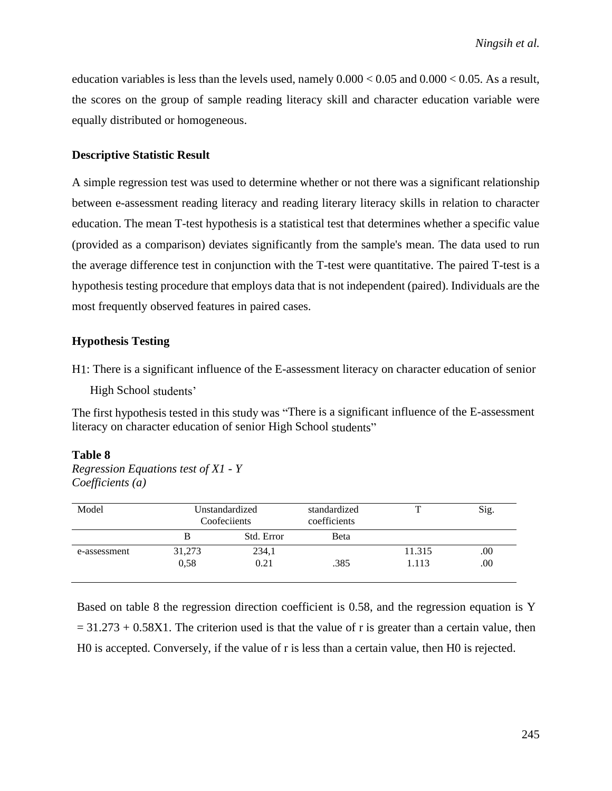education variables is less than the levels used, namely  $0.000 < 0.05$  and  $0.000 < 0.05$ . As a result, the scores on the group of sample reading literacy skill and character education variable were equally distributed or homogeneous.

### **Descriptive Statistic Result**

A simple regression test was used to determine whether or not there was a significant relationship between e-assessment reading literacy and reading literary literacy skills in relation to character education. The mean T-test hypothesis is a statistical test that determines whether a specific value (provided as a comparison) deviates significantly from the sample's mean. The data used to run the average difference test in conjunction with the T-test were quantitative. The paired T-test is a hypothesis testing procedure that employs data that is not independent (paired). Individuals are the most frequently observed features in paired cases.

#### **Hypothesis Testing**

H1: There is a significant influence of the E-assessment literacy on character education of senior

High School students'

The first hypothesis tested in this study was "There is a significant influence of the E-assessment literacy on character education of senior High School students"

#### **Table 8**

*Regression Equations test of X1 - Y Coefficients (a)*

| Model        |        | Unstandardized<br>Coofeciients | standardized<br>coefficients | ௱      | Sig. |
|--------------|--------|--------------------------------|------------------------------|--------|------|
|              |        | Std. Error                     | <b>B</b> eta                 |        |      |
| e-assessment | 31,273 | 234,1                          |                              | 11.315 | .00. |
|              | 0.58   | 0.21                           | .385                         | 1.113  | .00. |

Based on table 8 the regression direction coefficient is 0.58, and the regression equation is Y  $= 31.273 + 0.58X1$ . The criterion used is that the value of r is greater than a certain value, then H0 is accepted. Conversely, if the value of r is less than a certain value, then H0 is rejected.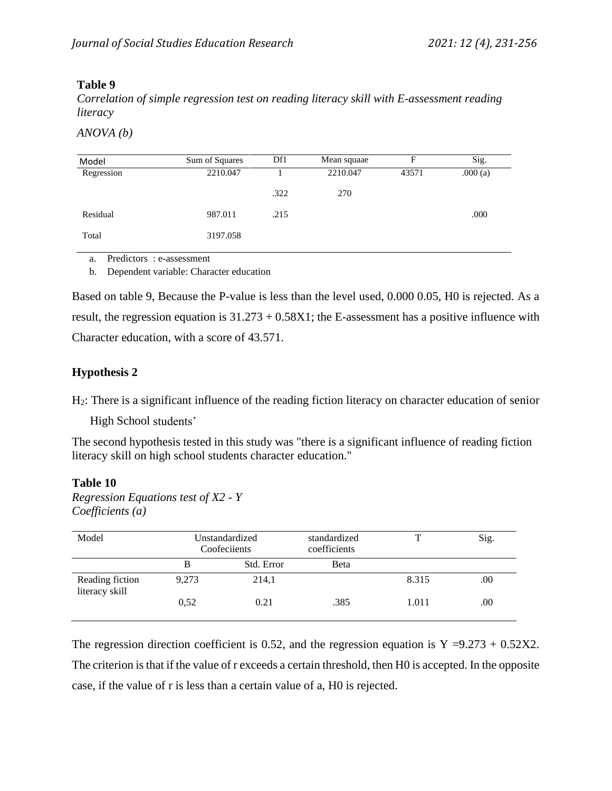# **Table 9**

*Correlation of simple regression test on reading literacy skill with E-assessment reading literacy*

*ANOVA (b)*

| Model      | Sum of Squares | Df1  | Mean squaae | F     | Sig.    |
|------------|----------------|------|-------------|-------|---------|
| Regression | 2210.047       |      | 2210.047    | 43571 | .000(a) |
|            |                | .322 | 270         |       |         |
| Residual   | 987.011        | .215 |             |       | .000    |
| Total      | 3197.058       |      |             |       |         |

a. Predictors : e-assessment

b. Dependent variable: Character education

Based on table 9, Because the P-value is less than the level used, 0.000 0.05, H0 is rejected. As a result, the regression equation is  $31.273 + 0.58X1$ ; the E-assessment has a positive influence with Character education, with a score of 43.571.

# **Hypothesis 2**

H2: There is a significant influence of the reading fiction literacy on character education of senior

High School students'

The second hypothesis tested in this study was "there is a significant influence of reading fiction literacy skill on high school students character education."

## **Table 10**

*Regression Equations test of X2 - Y Coefficients (a)*

| Model                             | Unstandardized<br>Coofeciients |            | standardized<br>coefficients | T     | Sig. |
|-----------------------------------|--------------------------------|------------|------------------------------|-------|------|
|                                   | В                              | Std. Error | <b>B</b> eta                 |       |      |
| Reading fiction<br>literacy skill | 9,273                          | 214,1      |                              | 8.315 | .00  |
|                                   | 0.52                           | 0.21       | .385                         | 1.011 | .00  |

The regression direction coefficient is 0.52, and the regression equation is  $Y = 9.273 + 0.52X2$ . The criterion is that if the value of r exceeds a certain threshold, then H0 is accepted. In the opposite case, if the value of r is less than a certain value of a, H0 is rejected.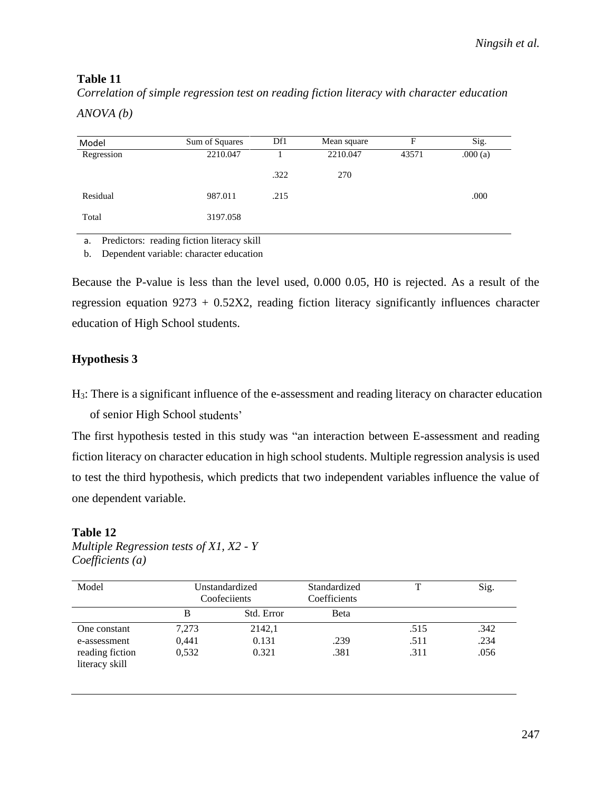# **Table 11**

*Correlation of simple regression test on reading fiction literacy with character education*

*ANOVA (b)*

| Model      | Sum of Squares | Df1  | Mean square | F     | Sig.    |
|------------|----------------|------|-------------|-------|---------|
| Regression | 2210.047       |      | 2210.047    | 43571 | .000(a) |
|            |                | .322 | 270         |       |         |
| Residual   | 987.011        | .215 |             |       | .000    |
| Total      | 3197.058       |      |             |       |         |

a. Predictors: reading fiction literacy skill

b. Dependent variable: character education

Because the P-value is less than the level used, 0.000 0.05, H0 is rejected. As a result of the regression equation  $9273 + 0.52X2$ , reading fiction literacy significantly influences character education of High School students.

# **Hypothesis 3**

H3: There is a significant influence of the e-assessment and reading literacy on character education of senior High School students'

The first hypothesis tested in this study was "an interaction between E-assessment and reading fiction literacy on character education in high school students. Multiple regression analysis is used to test the third hypothesis, which predicts that two independent variables influence the value of one dependent variable.

# **Table 12**

| Model                             |       | Unstandardized<br>Coofeciients | Standardized<br>Coefficients | T    | Sig. |
|-----------------------------------|-------|--------------------------------|------------------------------|------|------|
|                                   | B     | Std. Error                     | <b>B</b> eta                 |      |      |
| One constant                      | 7,273 | 2142,1                         |                              | .515 | .342 |
| e-assessment                      | 0,441 | 0.131                          | .239                         | .511 | .234 |
| reading fiction<br>literacy skill | 0,532 | 0.321                          | .381                         | .311 | .056 |

*Multiple Regression tests of X1, X2 - Y Coefficients (a)*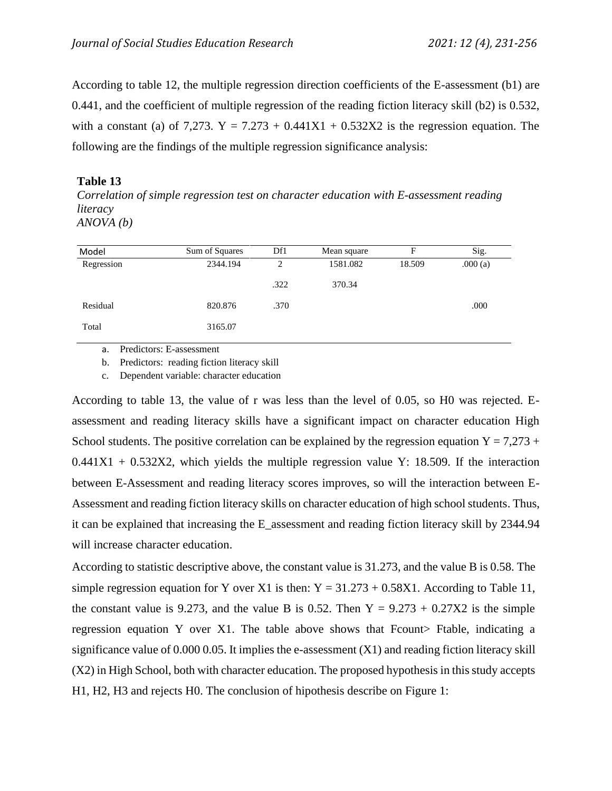According to table 12, the multiple regression direction coefficients of the E-assessment (b1) are 0.441, and the coefficient of multiple regression of the reading fiction literacy skill (b2) is 0.532, with a constant (a) of 7,273.  $Y = 7.273 + 0.441X1 + 0.532X2$  is the regression equation. The following are the findings of the multiple regression significance analysis:

## **Table 13**

*Correlation of simple regression test on character education with E-assessment reading literacy ANOVA (b)*

| Model      | Sum of Squares | Df1  | Mean square | F      | Sig.    |
|------------|----------------|------|-------------|--------|---------|
| Regression | 2344.194       | 2    | 1581.082    | 18.509 | .000(a) |
|            |                | .322 | 370.34      |        |         |
| Residual   | 820.876        | .370 |             |        | .000    |
| Total      | 3165.07        |      |             |        |         |
|            |                |      |             |        |         |

a. Predictors: E-assessment

b. Predictors: reading fiction literacy skill

c. Dependent variable: character education

According to table 13, the value of r was less than the level of 0.05, so H0 was rejected. Eassessment and reading literacy skills have a significant impact on character education High School students. The positive correlation can be explained by the regression equation  $Y = 7,273 +$  $0.441X1 + 0.532X2$ , which yields the multiple regression value Y: 18.509. If the interaction between E-Assessment and reading literacy scores improves, so will the interaction between E-Assessment and reading fiction literacy skills on character education of high school students. Thus, it can be explained that increasing the E\_assessment and reading fiction literacy skill by 2344.94 will increase character education.

According to statistic descriptive above, the constant value is 31.273, and the value B is 0.58. The simple regression equation for Y over X1 is then:  $Y = 31.273 + 0.58X1$ . According to Table 11, the constant value is 9.273, and the value B is 0.52. Then  $Y = 9.273 + 0.27X2$  is the simple regression equation Y over X1. The table above shows that Frount Ftable, indicating a significance value of  $0.000\,0.05$ . It implies the e-assessment  $(X1)$  and reading fiction literacy skill (X2) in High School, both with character education. The proposed hypothesis in this study accepts H1, H2, H3 and rejects H0. The conclusion of hipothesis describe on Figure 1: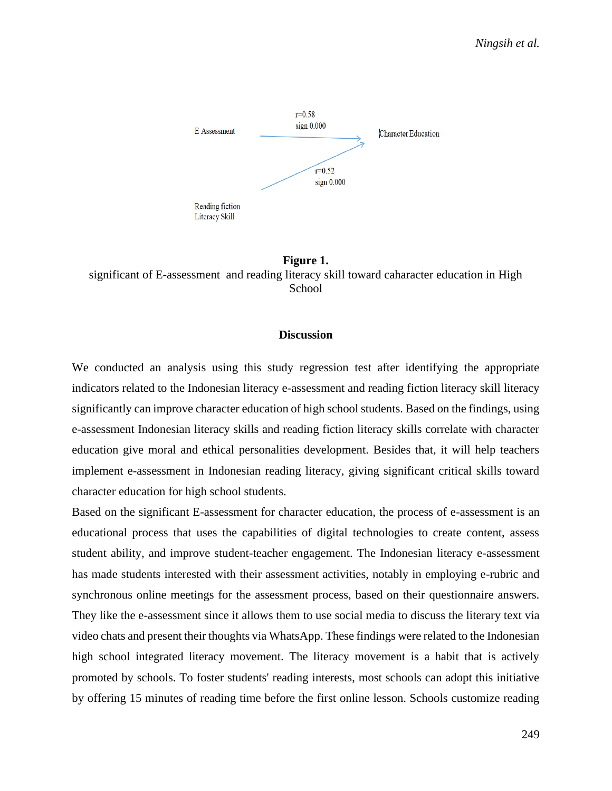

**Figure 1.** significant of E-assessment and reading literacy skill toward caharacter education in High **School** 

## **Discussion**

We conducted an analysis using this study regression test after identifying the appropriate indicators related to the Indonesian literacy e-assessment and reading fiction literacy skill literacy significantly can improve character education of high school students. Based on the findings, using e-assessment Indonesian literacy skills and reading fiction literacy skills correlate with character education give moral and ethical personalities development. Besides that, it will help teachers implement e-assessment in Indonesian reading literacy, giving significant critical skills toward character education for high school students.

Based on the significant E-assessment for character education, the process of e-assessment is an educational process that uses the capabilities of digital technologies to create content, assess student ability, and improve student-teacher engagement. The Indonesian literacy e-assessment has made students interested with their assessment activities, notably in employing e-rubric and synchronous online meetings for the assessment process, based on their questionnaire answers. They like the e-assessment since it allows them to use social media to discuss the literary text via video chats and present their thoughts via WhatsApp. These findings were related to the Indonesian high school integrated literacy movement. The literacy movement is a habit that is actively promoted by schools. To foster students' reading interests, most schools can adopt this initiative by offering 15 minutes of reading time before the first online lesson. Schools customize reading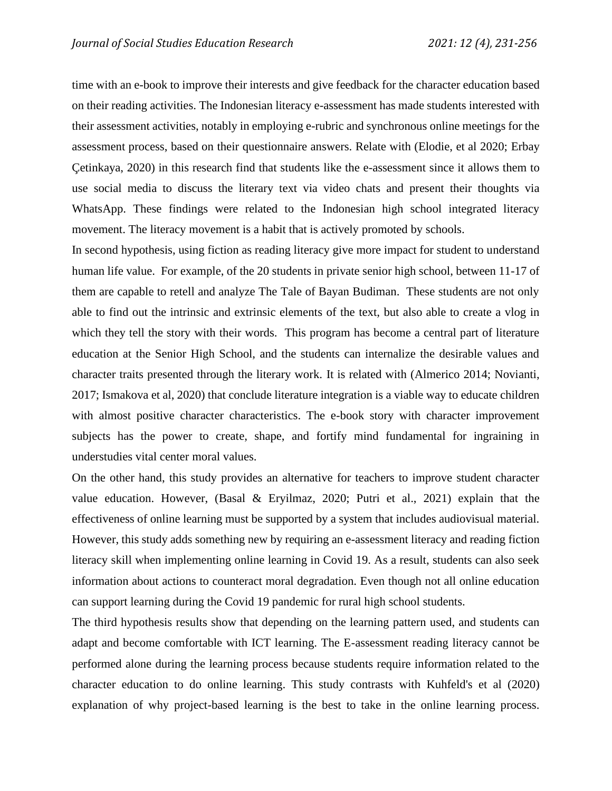time with an e-book to improve their interests and give feedback for the character education based on their reading activities. The Indonesian literacy e-assessment has made students interested with their assessment activities, notably in employing e-rubric and synchronous online meetings for the assessment process, based on their questionnaire answers. Relate with (Elodie, et al 2020; Erbay Çetinkaya, 2020) in this research find that students like the e-assessment since it allows them to use social media to discuss the literary text via video chats and present their thoughts via WhatsApp. These findings were related to the Indonesian high school integrated literacy movement. The literacy movement is a habit that is actively promoted by schools.

In second hypothesis, using fiction as reading literacy give more impact for student to understand human life value. For example, of the 20 students in private senior high school, between 11-17 of them are capable to retell and analyze The Tale of Bayan Budiman. These students are not only able to find out the intrinsic and extrinsic elements of the text, but also able to create a vlog in which they tell the story with their words. This program has become a central part of literature education at the Senior High School, and the students can internalize the desirable values and character traits presented through the literary work. It is related with (Almerico 2014; Novianti, 2017; Ismakova et al, 2020) that conclude literature integration is a viable way to educate children with almost positive character characteristics. The e-book story with character improvement subjects has the power to create, shape, and fortify mind fundamental for ingraining in understudies vital center moral values.

On the other hand, this study provides an alternative for teachers to improve student character value education. However, (Basal & Eryilmaz, 2020; Putri et al., 2021) explain that the effectiveness of online learning must be supported by a system that includes audiovisual material. However, this study adds something new by requiring an e-assessment literacy and reading fiction literacy skill when implementing online learning in Covid 19. As a result, students can also seek information about actions to counteract moral degradation. Even though not all online education can support learning during the Covid 19 pandemic for rural high school students.

The third hypothesis results show that depending on the learning pattern used, and students can adapt and become comfortable with ICT learning. The E-assessment reading literacy cannot be performed alone during the learning process because students require information related to the character education to do online learning. This study contrasts with Kuhfeld's et al (2020) explanation of why project-based learning is the best to take in the online learning process.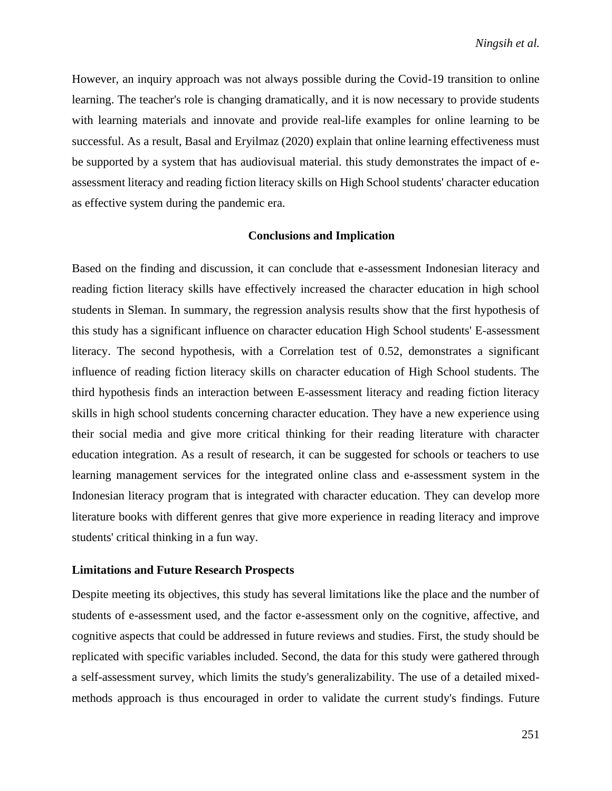However, an inquiry approach was not always possible during the Covid-19 transition to online learning. The teacher's role is changing dramatically, and it is now necessary to provide students with learning materials and innovate and provide real-life examples for online learning to be successful. As a result, Basal and Eryilmaz (2020) explain that online learning effectiveness must be supported by a system that has audiovisual material. this study demonstrates the impact of eassessment literacy and reading fiction literacy skills on High School students' character education as effective system during the pandemic era.

#### **Conclusions and Implication**

Based on the finding and discussion, it can conclude that e-assessment Indonesian literacy and reading fiction literacy skills have effectively increased the character education in high school students in Sleman. In summary, the regression analysis results show that the first hypothesis of this study has a significant influence on character education High School students' E-assessment literacy. The second hypothesis, with a Correlation test of 0.52, demonstrates a significant influence of reading fiction literacy skills on character education of High School students. The third hypothesis finds an interaction between E-assessment literacy and reading fiction literacy skills in high school students concerning character education. They have a new experience using their social media and give more critical thinking for their reading literature with character education integration. As a result of research, it can be suggested for schools or teachers to use learning management services for the integrated online class and e-assessment system in the Indonesian literacy program that is integrated with character education. They can develop more literature books with different genres that give more experience in reading literacy and improve students' critical thinking in a fun way.

#### **Limitations and Future Research Prospects**

Despite meeting its objectives, this study has several limitations like the place and the number of students of e-assessment used, and the factor e-assessment only on the cognitive, affective, and cognitive aspects that could be addressed in future reviews and studies. First, the study should be replicated with specific variables included. Second, the data for this study were gathered through a self-assessment survey, which limits the study's generalizability. The use of a detailed mixedmethods approach is thus encouraged in order to validate the current study's findings. Future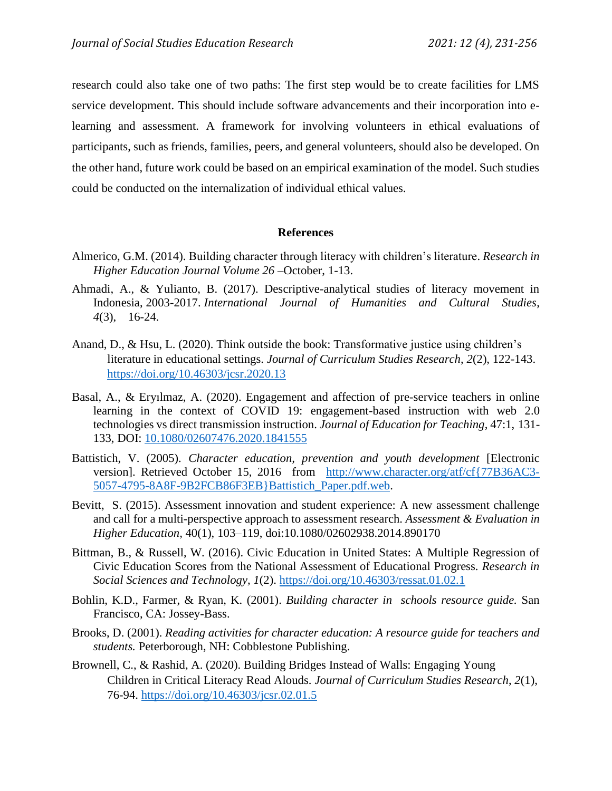research could also take one of two paths: The first step would be to create facilities for LMS service development. This should include software advancements and their incorporation into elearning and assessment. A framework for involving volunteers in ethical evaluations of participants, such as friends, families, peers, and general volunteers, should also be developed. On the other hand, future work could be based on an empirical examination of the model. Such studies could be conducted on the internalization of individual ethical values.

### **References**

- Almerico, G.M. (2014). Building character through literacy with children's literature. *Research in Higher Education Journal Volume 26 –*October, 1-13.
- Ahmadi, A., & Yulianto, B. (2017). Descriptive-analytical studies of literacy movement in Indonesia, 2003-2017. *International Journal of Humanities and Cultural Studies*, *4*(3), 16-24.
- Anand, D., & Hsu, L. (2020). Think outside the book: Transformative justice using children's literature in educational settings. *Journal of Curriculum Studies Research*, *2*(2), 122-143. <https://doi.org/10.46303/jcsr.2020.13>
- Basal, A., & Eryılmaz, A. (2020). Engagement and affection of pre-service teachers in online learning in the context of COVID 19: engagement-based instruction with web 2.0 technologies vs direct transmission instruction. *Journal of Education for Teaching*, 47:1, 131- 133, DOI: [10.1080/02607476.2020.1841555](https://doi.org/10.1080/02607476.2020.1841555)
- Battistich, V. (2005). *Character education, prevention and youth development* [Electronic version]. Retrieved October 15, 2016 from [http://www.character.org/atf/cf{77B36AC3-](http://www.character.org/atf/cf%7b77B36AC3-5057-4795-8A8F-9B2FCB86F3EB%7dBattistich_Paper.pdf.web) [5057-4795-8A8F-9B2FCB86F3EB}Battistich\\_Paper.pdf.web.](http://www.character.org/atf/cf%7b77B36AC3-5057-4795-8A8F-9B2FCB86F3EB%7dBattistich_Paper.pdf.web)
- Bevitt, S. (2015). Assessment innovation and student experience: A new assessment challenge and call for a multi-perspective approach to assessment research. *Assessment & Evaluation in Higher Education,* 40(1), 103–119, doi:10.1080/02602938.2014.890170
- Bittman, B., & Russell, W. (2016). Civic Education in United States: A Multiple Regression of Civic Education Scores from the National Assessment of Educational Progress. *Research in Social Sciences and Technology, 1*(2).<https://doi.org/10.46303/ressat.01.02.1>
- Bohlin, K.D., Farmer, & Ryan, K. (2001). *Building character in schools resource guide.* San Francisco, CA: Jossey-Bass.
- Brooks, D. (2001). *Reading activities for character education: A resource guide for teachers and students.* Peterborough, NH: Cobblestone Publishing.
- Brownell, C., & Rashid, A. (2020). Building Bridges Instead of Walls: Engaging Young Children in Critical Literacy Read Alouds. *Journal of Curriculum Studies Research*, *2*(1), 76-94.<https://doi.org/10.46303/jcsr.02.01.5>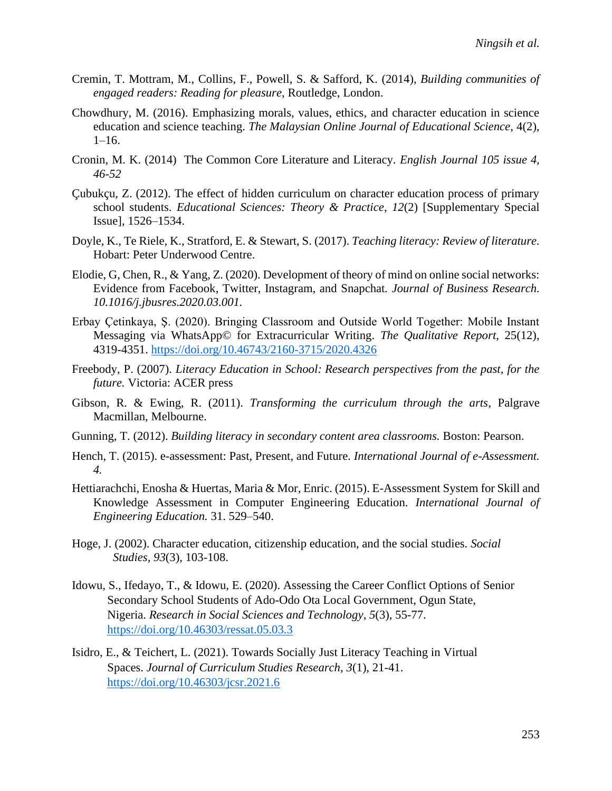- Cremin, T. Mottram, M., Collins, F., Powell, S. & Safford, K. (2014), *Building communities of engaged readers: Reading for pleasure*, Routledge, London.
- Chowdhury, M. (2016). Emphasizing morals, values, ethics, and character education in science education and science teaching. *The Malaysian Online Journal of Educational Science*, 4(2),  $1-16.$
- Cronin, M. K. (2014) The Common Core Literature and Literacy*. English Journal 105 issue 4, 46-52*
- Çubukçu, Z. (2012). The effect of hidden curriculum on character education process of primary school students. *Educational Sciences: Theory & Practice*, *12*(2) [Supplementary Special Issue], 1526–1534.
- Doyle, K., Te Riele, K., Stratford, E. & Stewart, S. (2017). *Teaching literacy: Review of literature.* Hobart: Peter Underwood Centre.
- Elodie, G, Chen, R., & Yang, Z. (2020). Development of theory of mind on online social networks: Evidence from Facebook, Twitter, Instagram, and Snapchat*. Journal of Business Research. 10.1016/j.jbusres.2020.03.001.*
- Erbay Çetinkaya, Ş. (2020). Bringing Classroom and Outside World Together: Mobile Instant Messaging via WhatsApp© for Extracurricular Writing. *The Qualitative Report*, 25(12), 4319-4351.<https://doi.org/10.46743/2160-3715/2020.4326>
- Freebody, P. (2007). *Literacy Education in School: Research perspectives from the past, for the future.* Victoria: ACER press
- Gibson, R. & Ewing, R. (2011). *Transforming the curriculum through the arts*, Palgrave Macmillan, Melbourne.
- Gunning, T. (2012). *Building literacy in secondary content area classrooms.* Boston: Pearson.
- Hench, T. (2015). e-assessment: Past, Present, and Future. *International Journal of e-Assessment. 4.*
- Hettiarachchi, Enosha & Huertas, Maria & Mor, Enric. (2015). E-Assessment System for Skill and Knowledge Assessment in Computer Engineering Education. *International Journal of Engineering Education.* 31. 529–540.
- Hoge, J. (2002). Character education, citizenship education, and the social studies. *Social Studies, 93*(3), 103-108.
- Idowu, S., Ifedayo, T., & Idowu, E. (2020). Assessing the Career Conflict Options of Senior Secondary School Students of Ado-Odo Ota Local Government, Ogun State, Nigeria. *Research in Social Sciences and Technology*, *5*(3), 55-77. <https://doi.org/10.46303/ressat.05.03.3>
- Isidro, E., & Teichert, L. (2021). Towards Socially Just Literacy Teaching in Virtual Spaces. *Journal of Curriculum Studies Research*, *3*(1), 21-41. <https://doi.org/10.46303/jcsr.2021.6>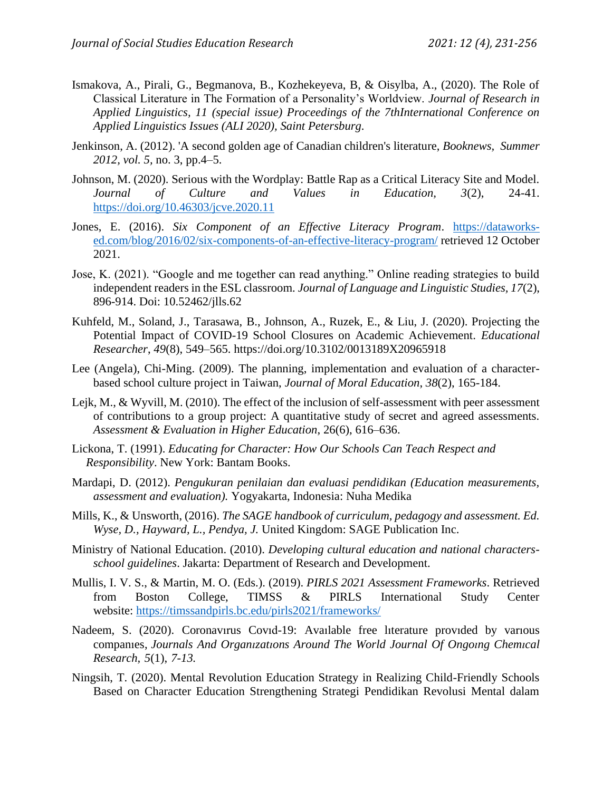- Ismakova, A., Pirali, G., Begmanova, B., Kozhekeyeva, B, & Oisylba, A., (2020). The Role of Classical Literature in The Formation of a Personality's Worldview. *Journal of Research in Applied Linguistics, 11 (special issue) Proceedings of the 7thInternational Conference on Applied Linguistics Issues (ALI 2020), Saint Petersburg.*
- Jenkinson, A. (2012). 'A second golden age of Canadian children's literature, *Booknews, Summer 2012, vol. 5,* no. 3, pp.4–5.
- Johnson, M. (2020). Serious with the Wordplay: Battle Rap as a Critical Literacy Site and Model. *Journal of Culture and Values in Education, 3*(2), 24-41. <https://doi.org/10.46303/jcve.2020.11>
- Jones, E. (2016). *Six Component of an Effective Literacy Program*. [https://dataworks](https://dataworks-ed.com/blog/2016/02/six-components-of-an-effective-literacy-program/)[ed.com/blog/2016/02/six-components-of-an-effective-literacy-program/](https://dataworks-ed.com/blog/2016/02/six-components-of-an-effective-literacy-program/) retrieved 12 October 2021.
- Jose, K. (2021). "Google and me together can read anything." Online reading strategies to build independent readers in the ESL classroom. *Journal of Language and Linguistic Studies, 17*(2), 896-914. Doi: 10.52462/jlls.62
- Kuhfeld, M., Soland, J., Tarasawa, B., Johnson, A., Ruzek, E., & Liu, J. (2020). Projecting the Potential Impact of COVID-19 School Closures on Academic Achievement. *Educational Researcher*, *49*(8), 549–565. https://doi.org/10.3102/0013189X20965918
- Lee (Angela), Chi-Ming. (2009). The planning, implementation and evaluation of a characterbased school culture project in Taiwan, *Journal of Moral Education*, *38*(2), 165-184.
- Lejk, M., & Wyvill, M. (2010). The effect of the inclusion of self-assessment with peer assessment of contributions to a group project: A quantitative study of secret and agreed assessments. *Assessment & Evaluation in Higher Education*, 26(6), 616–636.
- Lickona, T. (1991). *Educating for Character: How Our Schools Can Teach Respect and Responsibility*. New York: Bantam Books.
- Mardapi, D. (2012). *Pengukuran penilaian dan evaluasi pendidikan (Education measurements, assessment and evaluation).* Yogyakarta, Indonesia: Nuha Medika
- Mills, K., & Unsworth, (2016). *The SAGE handbook of curriculum, pedagogy and assessment. Ed. Wyse, D., Hayward, L., Pendya, J.* United Kingdom: SAGE Publication Inc.
- Ministry of National Education. (2010). *Developing cultural education and national charactersschool guidelines*. Jakarta: Department of Research and Development.
- Mullis, I. V. S., & Martin, M. O. (Eds.). (2019). *PIRLS 2021 Assessment Frameworks*. Retrieved from Boston College, TIMSS & PIRLS International Study Center website: <https://timssandpirls.bc.edu/pirls2021/frameworks/>
- Nadeem, S. (2020). Coronavırus Covıd-19: Avaılable free lıterature provıded by varıous companıes, *Journals And Organızatıons Around The World Journal Of Ongoıng Chemıcal Research, 5*(1), *7-13.*
- Ningsih, T. (2020). Mental Revolution Education Strategy in Realizing Child-Friendly Schools Based on Character Education Strengthening Strategi Pendidikan Revolusi Mental dalam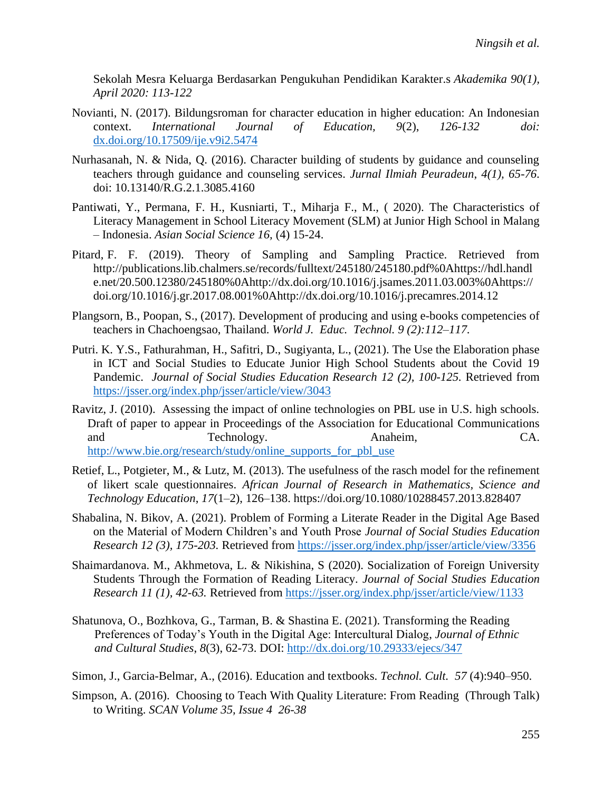Sekolah Mesra Keluarga Berdasarkan Pengukuhan Pendidikan Karakter.s *Akademika 90(1), April 2020: 113-122*

- Novianti, N. (2017). Bildungsroman for character education in higher education: An Indonesian context. *International Journal of Education, 9*(2), *126-132 doi:*  [dx.doi.org/10.17509/ije.v9i2.5474](http://dx.doi.org/10.17509/ije.v9i2.5474)
- Nurhasanah, N. & Nida, Q. (2016). Character building of students by guidance and counseling teachers through guidance and counseling services. *Jurnal Ilmiah Peuradeun*, *4(1), 65-76*. doi: 10.13140/R.G.2.1.3085.4160
- Pantiwati, Y., Permana, F. H., Kusniarti, T., Miharja F., M., ( 2020). The Characteristics of Literacy Management in School Literacy Movement (SLM) at Junior High School in Malang – Indonesia. *Asian Social Science 16,* (4) 15-24.
- Pitard, F. F. (2019). Theory of Sampling and Sampling Practice. Retrieved from http://publications.lib.chalmers.se/records/fulltext/245180/245180.pdf%0Ahttps://hdl.handl e.net/20.500.12380/245180%0Ahttp://dx.doi.org/10.1016/j.jsames.2011.03.003%0Ahttps:// doi.org/10.1016/j.gr.2017.08.001%0Ahttp://dx.doi.org/10.1016/j.precamres.2014.12
- Plangsorn, B., Poopan, S., (2017). Development of producing and using e-books competencies of teachers in Chachoengsao, Thailand. *World J. Educ. Technol. 9 (2):112–117.*
- Putri. K. Y.S., Fathurahman, H., Safitri, D., Sugiyanta, L., (2021). The Use the Elaboration phase in ICT and Social Studies to Educate Junior High School Students about the Covid 19 Pandemic. *Journal of Social Studies Education Research 12 (2), 100-125.* Retrieved from <https://jsser.org/index.php/jsser/article/view/3043>
- Ravitz, J. (2010). Assessing the impact of online technologies on PBL use in U.S. high schools. Draft of paper to appear in Proceedings of the Association for Educational Communications and Technology. Anaheim, CA. [http://www.bie.org/research/study/online\\_supports\\_for\\_pbl\\_use](http://www.bie.org/research/study/online_supports_for_pbl_use)
- Retief, L., Potgieter, M., & Lutz, M. (2013). The usefulness of the rasch model for the refinement of likert scale questionnaires. *African Journal of Research in Mathematics, Science and Technology Education*, *17*(1–2), 126–138. https://doi.org/10.1080/10288457.2013.828407
- Shabalina, N. Bikov, A. (2021). Problem of Forming a Literate Reader in the Digital Age Based on the Material of Modern Children's and Youth Prose *Journal of Social Studies Education Research 12 (3), 175-203.* Retrieved from<https://jsser.org/index.php/jsser/article/view/3356>
- Shaimardanova. M., Akhmetova, L. & Nikishina, S (2020). Socialization of Foreign University Students Through the Formation of Reading Literacy. *Journal of Social Studies Education Research 11 (1), 42-63.* Retrieved from <https://jsser.org/index.php/jsser/article/view/1133>
- Shatunova, O., Bozhkova, G., Tarman, B. & Shastina E. (2021). Transforming the Reading Preferences of Today's Youth in the Digital Age: Intercultural Dialog, *Journal of Ethnic and Cultural Studies*, *8*(3), 62-73. DOI: <http://dx.doi.org/10.29333/ejecs/347>
- Simon, J., Garcia-Belmar, A., (2016). Education and textbooks. *Technol. Cult. 57* (4):940–950.
- Simpson, A. (2016). Choosing to Teach With Quality Literature: From Reading (Through Talk) to Writing. *SCAN Volume 35, Issue 4 26-38*